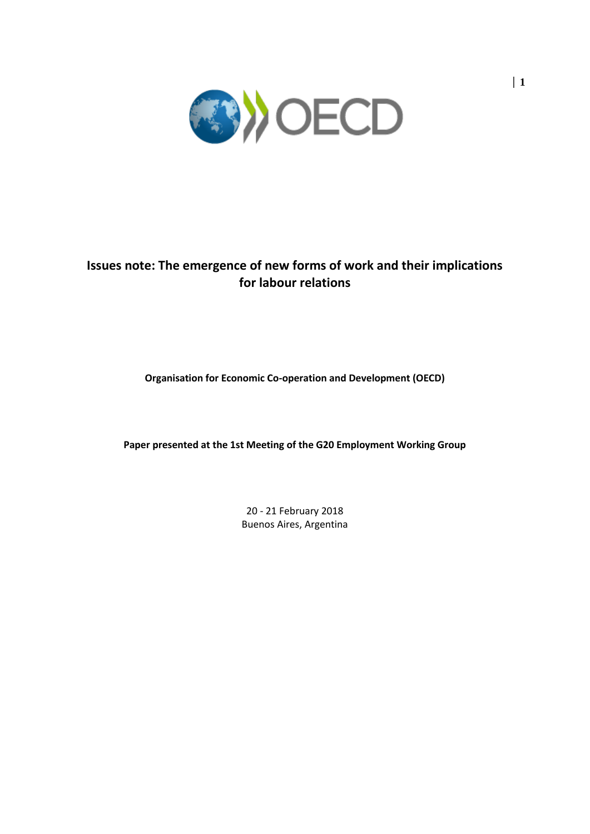

# **Issues note: The emergence of new forms of work and their implications for labour relations**

## **Organisation for Economic Co-operation and Development (OECD)**

**Paper presented at the 1st Meeting of the G20 Employment Working Group**

20 - 21 February 2018 Buenos Aires, Argentina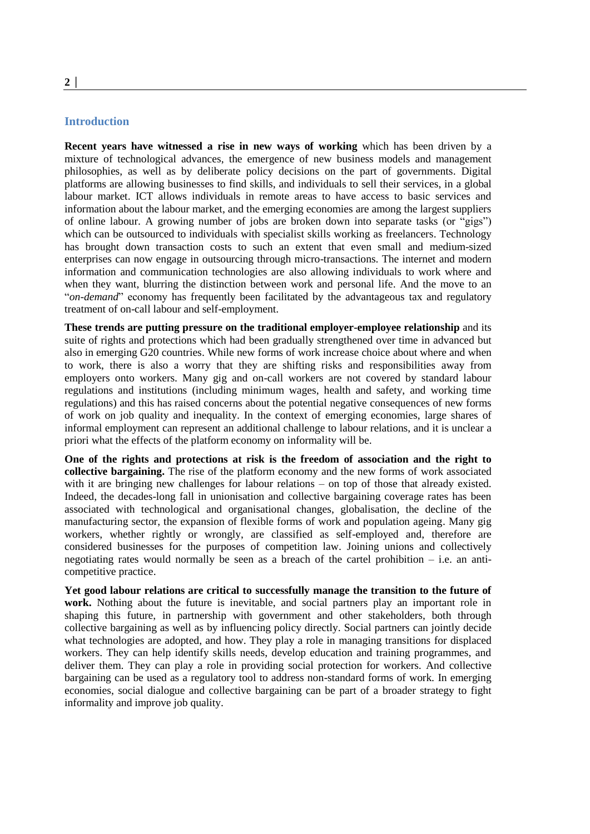#### **Introduction**

**Recent years have witnessed a rise in new ways of working** which has been driven by a mixture of technological advances, the emergence of new business models and management philosophies, as well as by deliberate policy decisions on the part of governments. Digital platforms are allowing businesses to find skills, and individuals to sell their services, in a global labour market. ICT allows individuals in remote areas to have access to basic services and information about the labour market, and the emerging economies are among the largest suppliers of online labour. A growing number of jobs are broken down into separate tasks (or "gigs") which can be outsourced to individuals with specialist skills working as freelancers. Technology has brought down transaction costs to such an extent that even small and medium-sized enterprises can now engage in outsourcing through micro-transactions. The internet and modern information and communication technologies are also allowing individuals to work where and when they want, blurring the distinction between work and personal life. And the move to an "*on-demand*" economy has frequently been facilitated by the advantageous tax and regulatory treatment of on-call labour and self-employment.

**These trends are putting pressure on the traditional employer-employee relationship** and its suite of rights and protections which had been gradually strengthened over time in advanced but also in emerging G20 countries. While new forms of work increase choice about where and when to work, there is also a worry that they are shifting risks and responsibilities away from employers onto workers. Many gig and on-call workers are not covered by standard labour regulations and institutions (including minimum wages, health and safety, and working time regulations) and this has raised concerns about the potential negative consequences of new forms of work on job quality and inequality. In the context of emerging economies, large shares of informal employment can represent an additional challenge to labour relations, and it is unclear a priori what the effects of the platform economy on informality will be.

**One of the rights and protections at risk is the freedom of association and the right to collective bargaining.** The rise of the platform economy and the new forms of work associated with it are bringing new challenges for labour relations – on top of those that already existed. Indeed, the decades-long fall in unionisation and collective bargaining coverage rates has been associated with technological and organisational changes, globalisation, the decline of the manufacturing sector, the expansion of flexible forms of work and population ageing. Many gig workers, whether rightly or wrongly, are classified as self-employed and, therefore are considered businesses for the purposes of competition law. Joining unions and collectively negotiating rates would normally be seen as a breach of the cartel prohibition – i.e. an anticompetitive practice.

**Yet good labour relations are critical to successfully manage the transition to the future of work.** Nothing about the future is inevitable, and social partners play an important role in shaping this future, in partnership with government and other stakeholders, both through collective bargaining as well as by influencing policy directly. Social partners can jointly decide what technologies are adopted, and how. They play a role in managing transitions for displaced workers. They can help identify skills needs, develop education and training programmes, and deliver them. They can play a role in providing social protection for workers. And collective bargaining can be used as a regulatory tool to address non-standard forms of work. In emerging economies, social dialogue and collective bargaining can be part of a broader strategy to fight informality and improve job quality.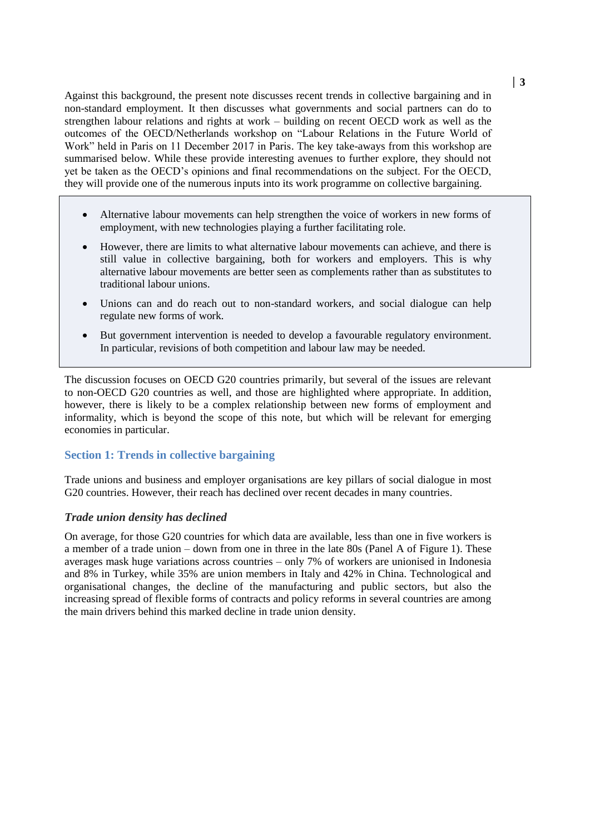Against this background, the present note discusses recent trends in collective bargaining and in non-standard employment. It then discusses what governments and social partners can do to strengthen labour relations and rights at work – building on recent OECD work as well as the outcomes of the OECD/Netherlands workshop on "Labour Relations in the Future World of Work" held in Paris on 11 December 2017 in Paris. The key take-aways from this workshop are summarised below. While these provide interesting avenues to further explore, they should not yet be taken as the OECD's opinions and final recommendations on the subject. For the OECD, they will provide one of the numerous inputs into its work programme on collective bargaining.

- Alternative labour movements can help strengthen the voice of workers in new forms of employment, with new technologies playing a further facilitating role.
- However, there are limits to what alternative labour movements can achieve, and there is still value in collective bargaining, both for workers and employers. This is why alternative labour movements are better seen as complements rather than as substitutes to traditional labour unions.
- Unions can and do reach out to non-standard workers, and social dialogue can help regulate new forms of work.
- But government intervention is needed to develop a favourable regulatory environment. In particular, revisions of both competition and labour law may be needed.

The discussion focuses on OECD G20 countries primarily, but several of the issues are relevant to non-OECD G20 countries as well, and those are highlighted where appropriate. In addition, however, there is likely to be a complex relationship between new forms of employment and informality, which is beyond the scope of this note, but which will be relevant for emerging economies in particular.

## **Section 1: Trends in collective bargaining**

Trade unions and business and employer organisations are key pillars of social dialogue in most G20 countries. However, their reach has declined over recent decades in many countries.

### *Trade union density has declined*

On average, for those G20 countries for which data are available, less than one in five workers is a member of a trade union – down from one in three in the late 80s (Panel A of [Figure](#page-3-0) 1). These averages mask huge variations across countries – only 7% of workers are unionised in Indonesia and 8% in Turkey, while 35% are union members in Italy and 42% in China. Technological and organisational changes, the decline of the manufacturing and public sectors, but also the increasing spread of flexible forms of contracts and policy reforms in several countries are among the main drivers behind this marked decline in trade union density.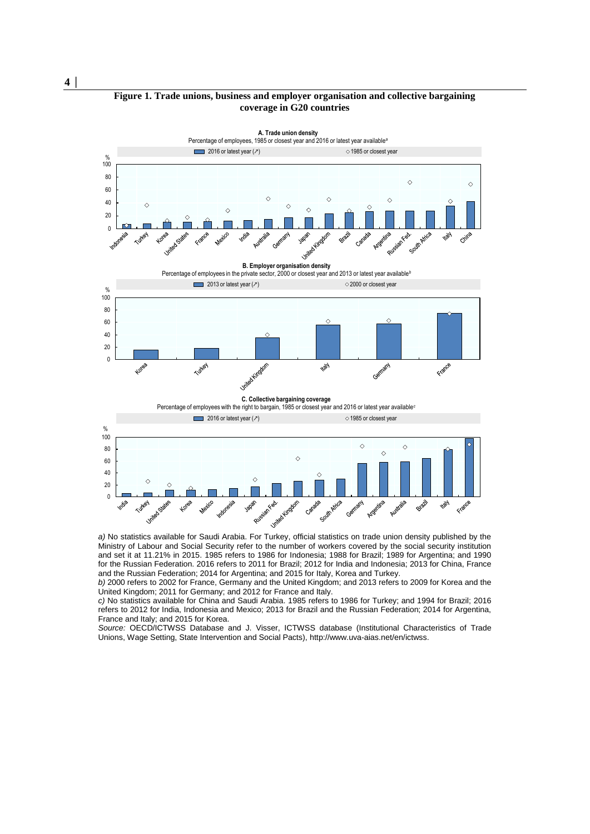#### **Figure 1. Trade unions, business and employer organisation and collective bargaining coverage in G20 countries**



Ministry of Labour and Social Security refer to the number of workers covered by the social security institution and set it at 11.21% in 2015. 1985 refers to 1986 for Indonesia; 1988 for Brazil; 1989 for Argentina; and 1990 for the Russian Federation. 2016 refers to 2011 for Brazil; 2012 for India and Indonesia; 2013 for China, France and the Russian Federation; 2014 for Argentina; and 2015 for Italy, Korea and Turkey.

*b)* 2000 refers to 2002 for France, Germany and the United Kingdom; and 2013 refers to 2009 for Korea and the United Kingdom; 2011 for Germany; and 2012 for France and Italy.

*c)* No statistics available for China and Saudi Arabia. 1985 refers to 1986 for Turkey; and 1994 for Brazil; 2016 refers to 2012 for India, Indonesia and Mexico; 2013 for Brazil and the Russian Federation; 2014 for Argentina, France and Italy; and 2015 for Korea.

*Source:* OECD/ICTWSS Database and J. Visser, ICTWSS database (Institutional Characteristics of Trade Unions, Wage Setting, State Intervention and Social Pacts)[, http://www.uva-aias.net/en/ictwss.](http://www.uva-aias.net/en/ictwss)

<span id="page-3-0"></span>**4 │**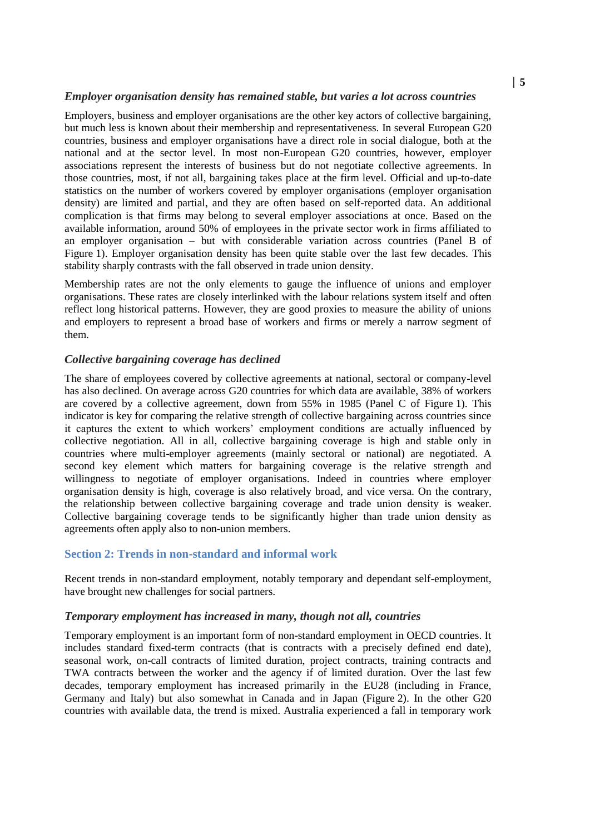### *Employer organisation density has remained stable, but varies a lot across countries*

Employers, business and employer organisations are the other key actors of collective bargaining, but much less is known about their membership and representativeness. In several European G20 countries, business and employer organisations have a direct role in social dialogue, both at the national and at the sector level. In most non-European G20 countries, however, employer associations represent the interests of business but do not negotiate collective agreements. In those countries, most, if not all, bargaining takes place at the firm level. Official and up-to-date statistics on the number of workers covered by employer organisations (employer organisation density) are limited and partial, and they are often based on self-reported data. An additional complication is that firms may belong to several employer associations at once. Based on the available information, around 50% of employees in the private sector work in firms affiliated to an employer organisation – but with considerable variation across countries (Panel B of [Figure](#page-3-0) 1). Employer organisation density has been quite stable over the last few decades. This stability sharply contrasts with the fall observed in trade union density.

Membership rates are not the only elements to gauge the influence of unions and employer organisations. These rates are closely interlinked with the labour relations system itself and often reflect long historical patterns. However, they are good proxies to measure the ability of unions and employers to represent a broad base of workers and firms or merely a narrow segment of them.

### *Collective bargaining coverage has declined*

The share of employees covered by collective agreements at national, sectoral or company-level has also declined. On average across G20 countries for which data are available, 38% of workers are covered by a collective agreement, down from 55% in 1985 (Panel C of [Figure](#page-3-0) 1). This indicator is key for comparing the relative strength of collective bargaining across countries since it captures the extent to which workers' employment conditions are actually influenced by collective negotiation. All in all, collective bargaining coverage is high and stable only in countries where multi-employer agreements (mainly sectoral or national) are negotiated. A second key element which matters for bargaining coverage is the relative strength and willingness to negotiate of employer organisations. Indeed in countries where employer organisation density is high, coverage is also relatively broad, and vice versa. On the contrary, the relationship between collective bargaining coverage and trade union density is weaker. Collective bargaining coverage tends to be significantly higher than trade union density as agreements often apply also to non-union members.

### **Section 2: Trends in non-standard and informal work**

Recent trends in non-standard employment, notably temporary and dependant self-employment, have brought new challenges for social partners.

### *Temporary employment has increased in many, though not all, countries*

Temporary employment is an important form of non-standard employment in OECD countries. It includes standard fixed-term contracts (that is contracts with a precisely defined end date), seasonal work, on-call contracts of limited duration, project contracts, training contracts and TWA contracts between the worker and the agency if of limited duration. Over the last few decades, temporary employment has increased primarily in the EU28 (including in France, Germany and Italy) but also somewhat in Canada and in Japan [\(Figure](#page-6-0) 2). In the other G20 countries with available data, the trend is mixed. Australia experienced a fall in temporary work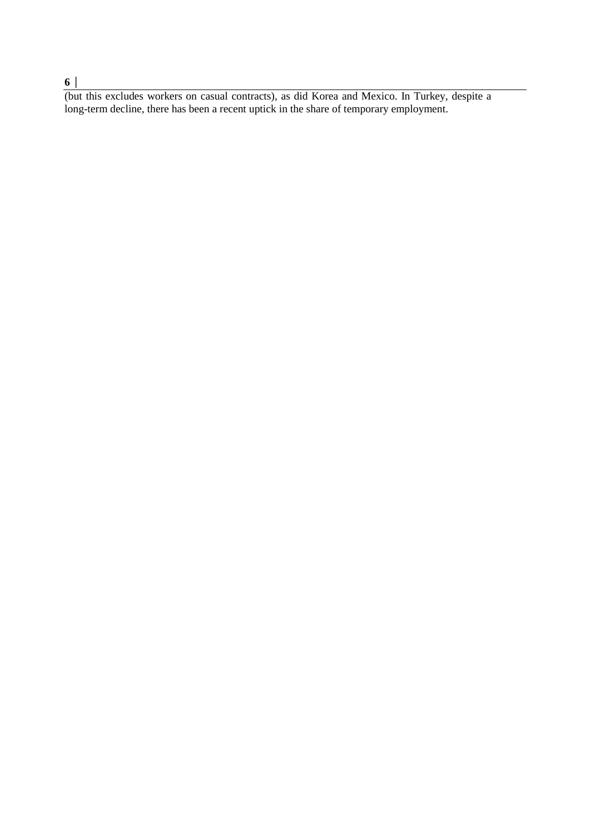### **6 │**

(but this excludes workers on casual contracts), as did Korea and Mexico. In Turkey, despite a long-term decline, there has been a recent uptick in the share of temporary employment.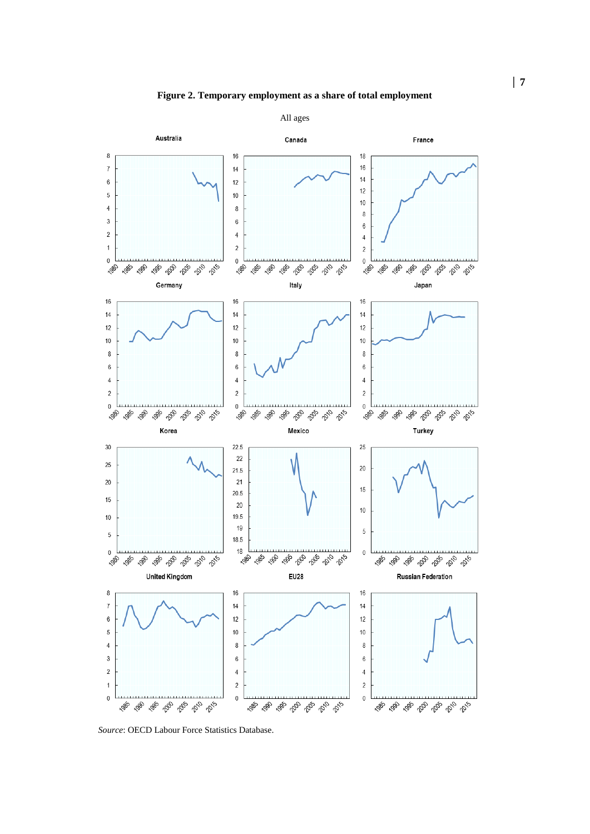<span id="page-6-0"></span>

*Source*: OECD Labour Force Statistics Database.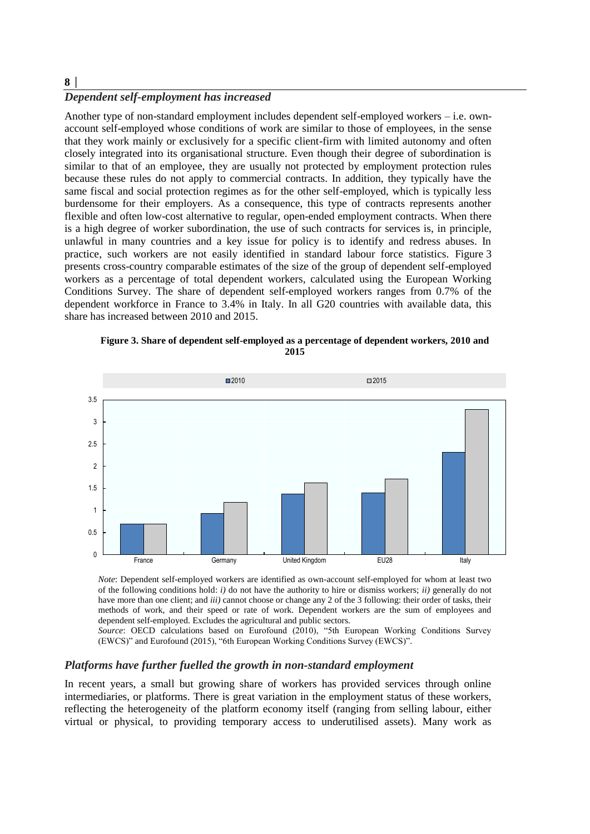# **8 │**

# *Dependent self-employment has increased*

Another type of non-standard employment includes dependent self-employed workers – i.e. ownaccount self-employed whose conditions of work are similar to those of employees, in the sense that they work mainly or exclusively for a specific client-firm with limited autonomy and often closely integrated into its organisational structure. Even though their degree of subordination is similar to that of an employee, they are usually not protected by employment protection rules because these rules do not apply to commercial contracts. In addition, they typically have the same fiscal and social protection regimes as for the other self-employed, which is typically less burdensome for their employers. As a consequence, this type of contracts represents another flexible and often low-cost alternative to regular, open-ended employment contracts. When there is a high degree of worker subordination, the use of such contracts for services is, in principle, unlawful in many countries and a key issue for policy is to identify and redress abuses. In practice, such workers are not easily identified in standard labour force statistics. [Figure](#page-7-0) 3 presents cross-country comparable estimates of the size of the group of dependent self-employed workers as a percentage of total dependent workers, calculated using the European Working Conditions Survey. The share of dependent self-employed workers ranges from 0.7% of the dependent workforce in France to 3.4% in Italy. In all G20 countries with available data, this share has increased between 2010 and 2015.

**Figure 3. Share of dependent self-employed as a percentage of dependent workers, 2010 and 2015**

<span id="page-7-0"></span>

*Note*: Dependent self-employed workers are identified as own-account self-employed for whom at least two of the following conditions hold: *i)* do not have the authority to hire or dismiss workers; *ii)* generally do not have more than one client; and *iii*) cannot choose or change any 2 of the 3 following: their order of tasks, their methods of work, and their speed or rate of work. Dependent workers are the sum of employees and dependent self-employed. Excludes the agricultural and public sectors.

*Source*: OECD calculations based on Eurofound (2010), "5th European Working Conditions Survey (EWCS)" and Eurofound (2015), "6th European Working Conditions Survey (EWCS)".

#### *Platforms have further fuelled the growth in non-standard employment*

In recent years, a small but growing share of workers has provided services through online intermediaries, or platforms. There is great variation in the employment status of these workers, reflecting the heterogeneity of the platform economy itself (ranging from selling labour, either virtual or physical, to providing temporary access to underutilised assets). Many work as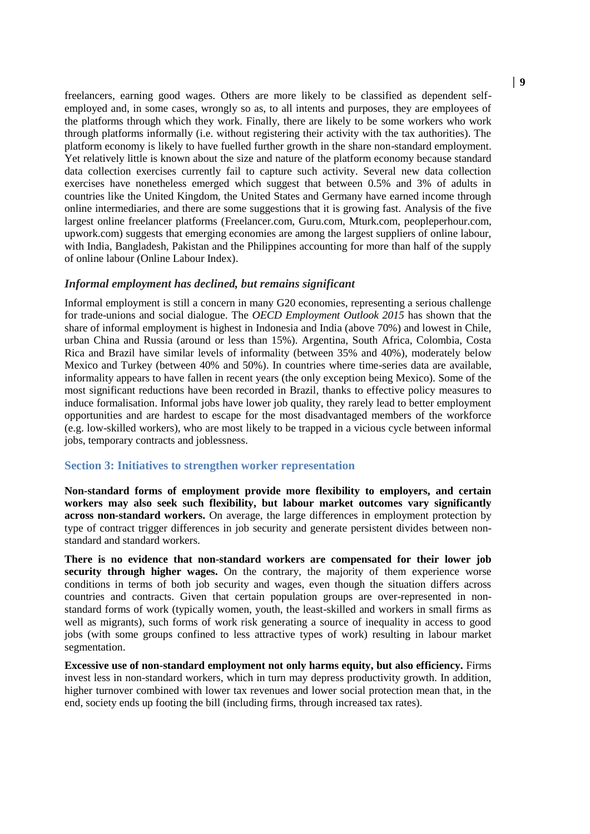freelancers, earning good wages. Others are more likely to be classified as dependent selfemployed and, in some cases, wrongly so as, to all intents and purposes, they are employees of the platforms through which they work. Finally, there are likely to be some workers who work through platforms informally (i.e. without registering their activity with the tax authorities). The platform economy is likely to have fuelled further growth in the share non-standard employment. Yet relatively little is known about the size and nature of the platform economy because standard data collection exercises currently fail to capture such activity. Several new data collection exercises have nonetheless emerged which suggest that between 0.5% and 3% of adults in countries like the United Kingdom, the United States and Germany have earned income through online intermediaries, and there are some suggestions that it is growing fast. Analysis of the five largest online freelancer platforms (Freelancer.com, Guru.com, Mturk.com, peopleperhour.com, upwork.com) suggests that emerging economies are among the largest suppliers of online labour, with India, Bangladesh, Pakistan and the Philippines accounting for more than half of the supply of online labour (Online Labour Index).

### *Informal employment has declined, but remains significant*

Informal employment is still a concern in many G20 economies, representing a serious challenge for trade-unions and social dialogue. The *OECD Employment Outlook 2015* has shown that the share of informal employment is highest in Indonesia and India (above 70%) and lowest in Chile, urban China and Russia (around or less than 15%). Argentina, South Africa, Colombia, Costa Rica and Brazil have similar levels of informality (between 35% and 40%), moderately below Mexico and Turkey (between 40% and 50%). In countries where time-series data are available, informality appears to have fallen in recent years (the only exception being Mexico). Some of the most significant reductions have been recorded in Brazil, thanks to effective policy measures to induce formalisation. Informal jobs have lower job quality, they rarely lead to better employment opportunities and are hardest to escape for the most disadvantaged members of the workforce (e.g. low-skilled workers), who are most likely to be trapped in a vicious cycle between informal jobs, temporary contracts and joblessness.

#### **Section 3: Initiatives to strengthen worker representation**

**Non-standard forms of employment provide more flexibility to employers, and certain workers may also seek such flexibility, but labour market outcomes vary significantly across non-standard workers.** On average, the large differences in employment protection by type of contract trigger differences in job security and generate persistent divides between nonstandard and standard workers.

**There is no evidence that non-standard workers are compensated for their lower job security through higher wages.** On the contrary, the majority of them experience worse conditions in terms of both job security and wages, even though the situation differs across countries and contracts. Given that certain population groups are over-represented in nonstandard forms of work (typically women, youth, the least-skilled and workers in small firms as well as migrants), such forms of work risk generating a source of inequality in access to good jobs (with some groups confined to less attractive types of work) resulting in labour market segmentation.

**Excessive use of non-standard employment not only harms equity, but also efficiency.** Firms invest less in non-standard workers, which in turn may depress productivity growth. In addition, higher turnover combined with lower tax revenues and lower social protection mean that, in the end, society ends up footing the bill (including firms, through increased tax rates).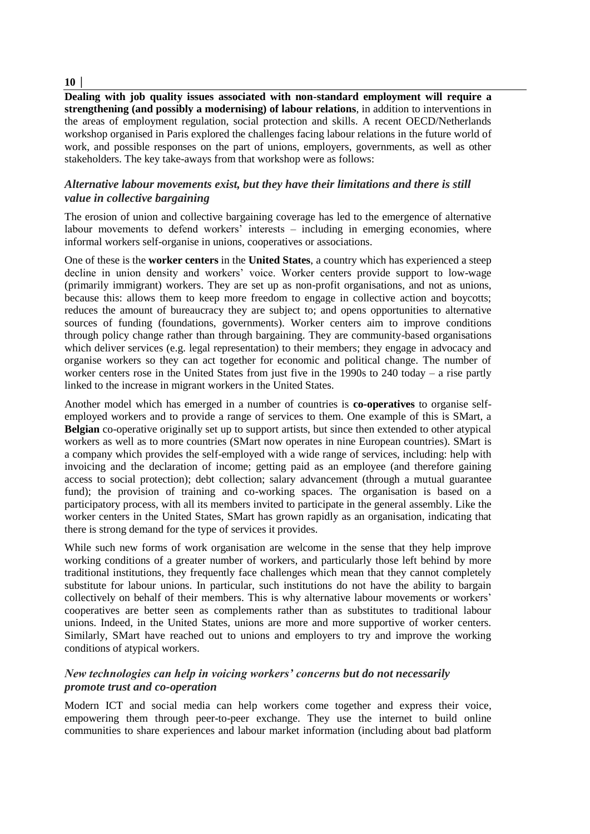### $10|$

**Dealing with job quality issues associated with non-standard employment will require a strengthening (and possibly a modernising) of labour relations**, in addition to interventions in the areas of employment regulation, social protection and skills. A recent OECD/Netherlands workshop organised in Paris explored the challenges facing labour relations in the future world of work, and possible responses on the part of unions, employers, governments, as well as other stakeholders. The key take-aways from that workshop were as follows:

## *Alternative labour movements exist, but they have their limitations and there is still value in collective bargaining*

The erosion of union and collective bargaining coverage has led to the emergence of alternative labour movements to defend workers' interests – including in emerging economies, where informal workers self-organise in unions, cooperatives or associations.

One of these is the **worker centers** in the **United States**, a country which has experienced a steep decline in union density and workers' voice. Worker centers provide support to low-wage (primarily immigrant) workers. They are set up as non-profit organisations, and not as unions, because this: allows them to keep more freedom to engage in collective action and boycotts; reduces the amount of bureaucracy they are subject to; and opens opportunities to alternative sources of funding (foundations, governments). Worker centers aim to improve conditions through policy change rather than through bargaining. They are community-based organisations which deliver services (e.g. legal representation) to their members; they engage in advocacy and organise workers so they can act together for economic and political change. The number of worker centers rose in the United States from just five in the 1990s to 240 today – a rise partly linked to the increase in migrant workers in the United States.

Another model which has emerged in a number of countries is **co-operatives** to organise selfemployed workers and to provide a range of services to them. One example of this is SMart, a **Belgian** co-operative originally set up to support artists, but since then extended to other atypical workers as well as to more countries (SMart now operates in nine European countries). SMart is a company which provides the self-employed with a wide range of services, including: help with invoicing and the declaration of income; getting paid as an employee (and therefore gaining access to social protection); debt collection; salary advancement (through a mutual guarantee fund); the provision of training and co-working spaces. The organisation is based on a participatory process, with all its members invited to participate in the general assembly. Like the worker centers in the United States, SMart has grown rapidly as an organisation, indicating that there is strong demand for the type of services it provides.

While such new forms of work organisation are welcome in the sense that they help improve working conditions of a greater number of workers, and particularly those left behind by more traditional institutions, they frequently face challenges which mean that they cannot completely substitute for labour unions. In particular, such institutions do not have the ability to bargain collectively on behalf of their members. This is why alternative labour movements or workers' cooperatives are better seen as complements rather than as substitutes to traditional labour unions. Indeed, in the United States, unions are more and more supportive of worker centers. Similarly, SMart have reached out to unions and employers to try and improve the working conditions of atypical workers.

## *New technologies can help in voicing workers' concerns but do not necessarily promote trust and co-operation*

Modern ICT and social media can help workers come together and express their voice, empowering them through peer-to-peer exchange. They use the internet to build online communities to share experiences and labour market information (including about bad platform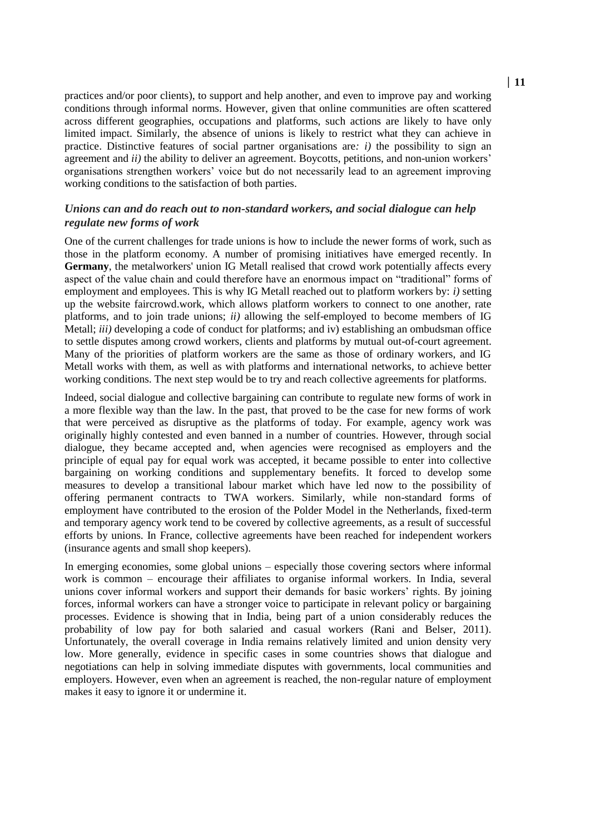practices and/or poor clients), to support and help another, and even to improve pay and working conditions through informal norms. However, given that online communities are often scattered across different geographies, occupations and platforms, such actions are likely to have only limited impact. Similarly, the absence of unions is likely to restrict what they can achieve in practice. Distinctive features of social partner organisations are*: i)* the possibility to sign an agreement and *ii)* the ability to deliver an agreement. Boycotts, petitions, and non-union workers' organisations strengthen workers' voice but do not necessarily lead to an agreement improving working conditions to the satisfaction of both parties.

## *Unions can and do reach out to non-standard workers, and social dialogue can help regulate new forms of work*

One of the current challenges for trade unions is how to include the newer forms of work, such as those in the platform economy. A number of promising initiatives have emerged recently. In **Germany**, the metalworkers' union IG Metall realised that crowd work potentially affects every aspect of the value chain and could therefore have an enormous impact on "traditional" forms of employment and employees. This is why IG Metall reached out to platform workers by: *i)* setting up the website faircrowd.work, which allows platform workers to connect to one another, rate platforms, and to join trade unions; *ii)* allowing the self-employed to become members of IG Metall; *iii)* developing a code of conduct for platforms; and iv) establishing an ombudsman office to settle disputes among crowd workers, clients and platforms by mutual out-of-court agreement. Many of the priorities of platform workers are the same as those of ordinary workers, and IG Metall works with them, as well as with platforms and international networks, to achieve better working conditions. The next step would be to try and reach collective agreements for platforms.

Indeed, social dialogue and collective bargaining can contribute to regulate new forms of work in a more flexible way than the law. In the past, that proved to be the case for new forms of work that were perceived as disruptive as the platforms of today. For example, agency work was originally highly contested and even banned in a number of countries. However, through social dialogue, they became accepted and, when agencies were recognised as employers and the principle of equal pay for equal work was accepted, it became possible to enter into collective bargaining on working conditions and supplementary benefits. It forced to develop some measures to develop a transitional labour market which have led now to the possibility of offering permanent contracts to TWA workers. Similarly, while non-standard forms of employment have contributed to the erosion of the Polder Model in the Netherlands, fixed-term and temporary agency work tend to be covered by collective agreements, as a result of successful efforts by unions. In France, collective agreements have been reached for independent workers (insurance agents and small shop keepers).

In emerging economies, some global unions – especially those covering sectors where informal work is common – encourage their affiliates to organise informal workers. In India, several unions cover informal workers and support their demands for basic workers' rights. By joining forces, informal workers can have a stronger voice to participate in relevant policy or bargaining processes. Evidence is showing that in India, being part of a union considerably reduces the probability of low pay for both salaried and casual workers (Rani and Belser, 2011). Unfortunately, the overall coverage in India remains relatively limited and union density very low. More generally, evidence in specific cases in some countries shows that dialogue and negotiations can help in solving immediate disputes with governments, local communities and employers. However, even when an agreement is reached, the non-regular nature of employment makes it easy to ignore it or undermine it.